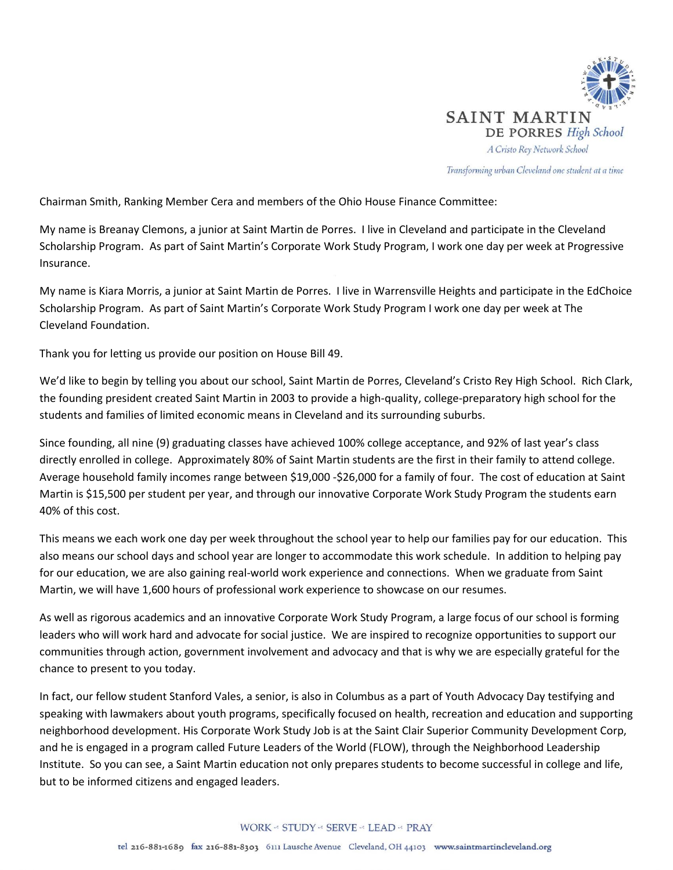

Transforming urban Cleveland one student at a time

Chairman Smith, Ranking Member Cera and members of the Ohio House Finance Committee:

My name is Breanay Clemons, a junior at Saint Martin de Porres. I live in Cleveland and participate in the Cleveland Scholarship Program. As part of Saint Martin's Corporate Work Study Program, I work one day per week at Progressive Insurance.

My name is Kiara Morris, a junior at Saint Martin de Porres. I live in Warrensville Heights and participate in the EdChoice Scholarship Program. As part of Saint Martin's Corporate Work Study Program I work one day per week at The Cleveland Foundation.

Thank you for letting us provide our position on House Bill 49.

We'd like to begin by telling you about our school, Saint Martin de Porres, Cleveland's Cristo Rey High School. Rich Clark, the founding president created Saint Martin in 2003 to provide a high-quality, college-preparatory high school for the students and families of limited economic means in Cleveland and its surrounding suburbs.

Since founding, all nine (9) graduating classes have achieved 100% college acceptance, and 92% of last year's class directly enrolled in college. Approximately 80% of Saint Martin students are the first in their family to attend college. Average household family incomes range between \$19,000 -\$26,000 for a family of four. The cost of education at Saint Martin is \$15,500 per student per year, and through our innovative Corporate Work Study Program the students earn 40% of this cost.

This means we each work one day per week throughout the school year to help our families pay for our education. This also means our school days and school year are longer to accommodate this work schedule. In addition to helping pay for our education, we are also gaining real-world work experience and connections. When we graduate from Saint Martin, we will have 1,600 hours of professional work experience to showcase on our resumes.

As well as rigorous academics and an innovative Corporate Work Study Program, a large focus of our school is forming leaders who will work hard and advocate for social justice. We are inspired to recognize opportunities to support our communities through action, government involvement and advocacy and that is why we are especially grateful for the chance to present to you today.

In fact, our fellow student Stanford Vales, a senior, is also in Columbus as a part of Youth Advocacy Day testifying and speaking with lawmakers about youth programs, specifically focused on health, recreation and education and supporting neighborhood development. His Corporate Work Study Job is at the Saint Clair Superior Community Development Corp, and he is engaged in a program called Future Leaders of the World (FLOW), through the Neighborhood Leadership Institute. So you can see, a Saint Martin education not only prepares students to become successful in college and life, but to be informed citizens and engaged leaders.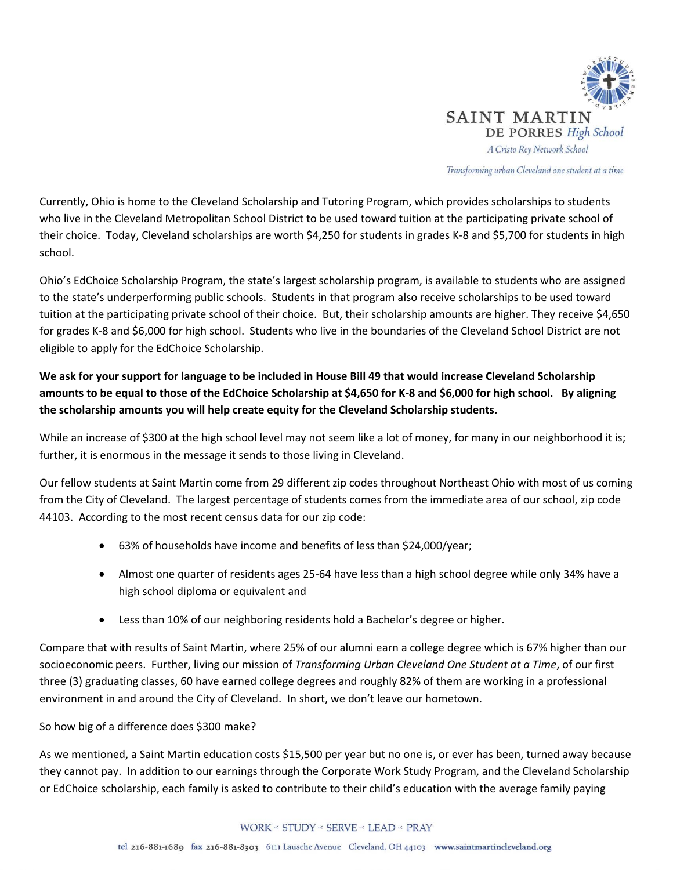

Transforming urban Cleveland one student at a time

Currently, Ohio is home to the Cleveland Scholarship and Tutoring Program, which provides scholarships to students who live in the Cleveland Metropolitan School District to be used toward tuition at the participating private school of their choice. Today, Cleveland scholarships are worth \$4,250 for students in grades K-8 and \$5,700 for students in high school.

Ohio's EdChoice Scholarship Program, the state's largest scholarship program, is available to students who are assigned to the state's underperforming public schools. Students in that program also receive scholarships to be used toward tuition at the participating private school of their choice. But, their scholarship amounts are higher. They receive \$4,650 for grades K-8 and \$6,000 for high school. Students who live in the boundaries of the Cleveland School District are not eligible to apply for the EdChoice Scholarship.

## **We ask for your support for language to be included in House Bill 49 that would increase Cleveland Scholarship amounts to be equal to those of the EdChoice Scholarship at \$4,650 for K-8 and \$6,000 for high school. By aligning the scholarship amounts you will help create equity for the Cleveland Scholarship students.**

While an increase of \$300 at the high school level may not seem like a lot of money, for many in our neighborhood it is; further, it is enormous in the message it sends to those living in Cleveland.

Our fellow students at Saint Martin come from 29 different zip codes throughout Northeast Ohio with most of us coming from the City of Cleveland. The largest percentage of students comes from the immediate area of our school, zip code 44103. According to the most recent census data for our zip code:

- 63% of households have income and benefits of less than \$24,000/year;
- Almost one quarter of residents ages 25-64 have less than a high school degree while only 34% have a high school diploma or equivalent and
- Less than 10% of our neighboring residents hold a Bachelor's degree or higher.

Compare that with results of Saint Martin, where 25% of our alumni earn a college degree which is 67% higher than our socioeconomic peers. Further, living our mission of *Transforming Urban Cleveland One Student at a Time*, of our first three (3) graduating classes, 60 have earned college degrees and roughly 82% of them are working in a professional environment in and around the City of Cleveland. In short, we don't leave our hometown.

## So how big of a difference does \$300 make?

As we mentioned, a Saint Martin education costs \$15,500 per year but no one is, or ever has been, turned away because they cannot pay. In addition to our earnings through the Corporate Work Study Program, and the Cleveland Scholarship or EdChoice scholarship, each family is asked to contribute to their child's education with the average family paying